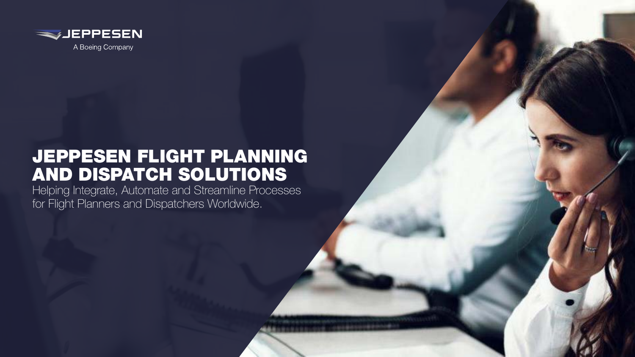

## JEPPESEN FLIGHT PLANNING AND DISPATCH SOLUTIONS

Helping Integrate, Automate and Streamline Processes for Flight Planners and Dispatchers Worldwide.

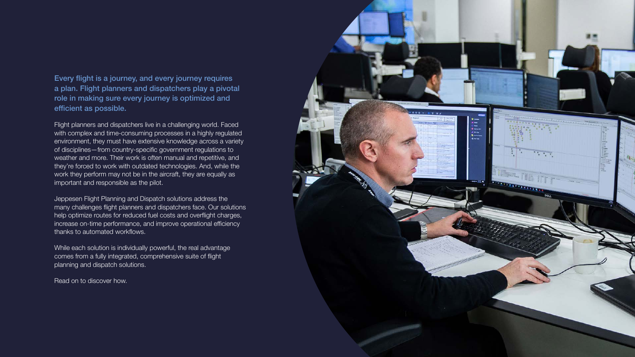

Every flight is a journey, and every journey requires a plan. Flight planners and dispatchers play a pivotal role in making sure every journey is optimized and efficient as possible.

Flight planners and dispatchers live in a challenging world. Faced with complex and time-consuming processes in a highly regulated environment, they must have extensive knowledge across a variety of disciplines—from country-specific government regulations to weather and more. Their work is often manual and repetitive, and they're forced to work with outdated technologies. And, while the work they perform may not be in the aircraft, they are equally as important and responsible as the pilot.

Jeppesen Flight Planning and Dispatch solutions address the many challenges flight planners and dispatchers face. Our solutions help optimize routes for reduced fuel costs and overflight charges, increase on-time performance, and improve operational efficiency thanks to automated workflows.

While each solution is individually powerful, the real advantage comes from a fully integrated, comprehensive suite of flight planning and dispatch solutions.

Read on to discover how.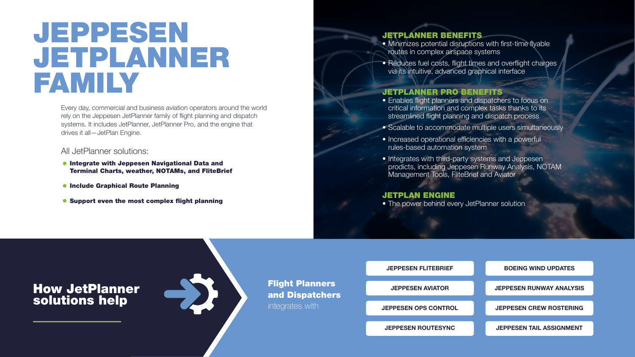Every day, commercial and business aviation operators around the world rely on the Jeppesen JetPlanner family of flight planning and dispatch systems. It includes JetPlanner, JetPlanner Pro, and the engine that drives it all—JetPlan Engine.

All JetPlanner solutions:

- **. Integrate with Jeppesen Navigational Data and** Terminal Charts, weather, NOTAMs, and FliteBrief
- **Include Graphical Route Planning**
- **Support even the most complex flight planning**

## JEPPESEN JETPLANNER FAMILY

#### JETPLANNER BENEFITS

- Minimizes potential disruptions with first-time flyable routes in complex airspace systems
- Reduces fuel costs, flight times and overflight charges via its intuitive, advanced graphical interface

#### JETPLANNER PRO BENEFITS

- Enables flight planners and dispatchers to focus on critical information and complex tasks thanks to its streamlined flight planning and dispatch process
- Scalable to accommodate multiple users simultaneously
- Increased operational efficiencies with a powerful rules-based automation system
- **•** Integrates with third-party systems and Jeppesen prodicts, including Jeppesen Runway Analysis, NOTAM Management Tools, FliteBrief and Aviator

#### JETPLAN ENGINE

**• The power behind every JetPlanner solution** 

### How JetPlanner solutions help



integrates with



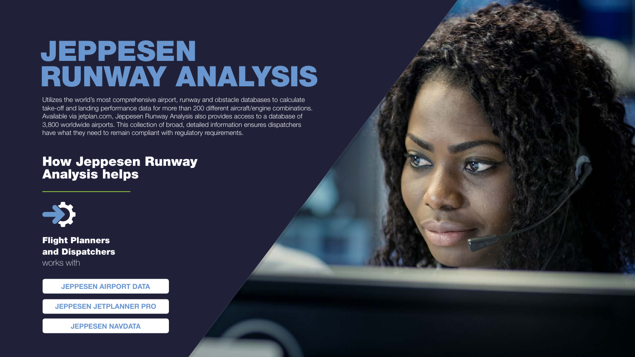Utilizes the world's most comprehensive airport, runway and obstacle databases to calculate take-off and landing performance data for more than 200 different aircraft/engine combinations. Available via jetplan.com, Jeppesen Runway Analysis also provides access to a database of 3,800 worldwide airports. This collection of broad, detailed information ensures dispatchers have what they need to remain compliant with regulatory requirements.

# JEPPESEN RUNWAY ANALYSIS

Flight Planners and Dispatchers works with

### How Jeppesen Runway Analysis helps



**JEPPESEN AIRPORT DATA**

**JEPPESEN JETPLANNER PRO**

**JEPPESEN NAVDATA** 



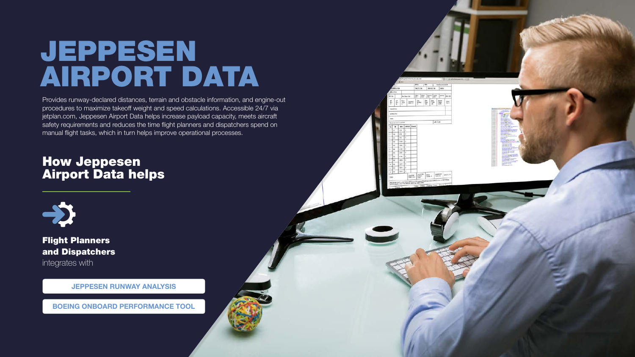Provides runway-declared distances, terrain and obstacle information, and engine-out procedures to maximize takeoff weight and speed calculations. Accessible 24/7 via jetplan.com, Jeppesen Airport Data helps increase payload capacity, meets aircraft safety requirements and reduces the time flight planners and dispatchers spend on manual flight tasks, which in turn helps improve operational processes.

# JEPPESEN AIRPORT DATA

Flight Planners and Dispatchers

integrates with

### How Jeppesen Airport Data helps



**JEPPESEN RUNWAY ANALYSIS**

**BOEING ONBOARD PERFORMANCE TOOL** 



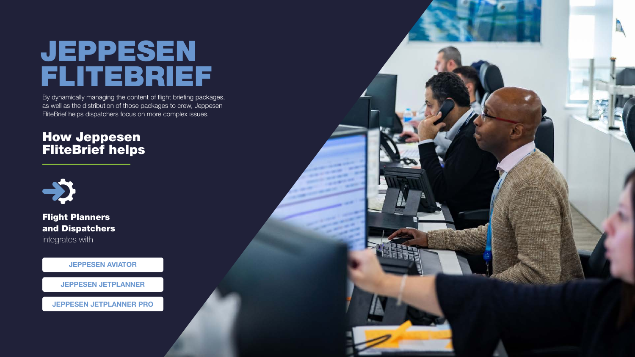By dynamically managing the content of flight briefing packages, as well as the distribution of those packages to crew, Jeppesen FliteBrief helps dispatchers focus on more complex issues.

## JEPPESEN FLITEBRIEF

### How Jeppesen FliteBrief helps



Flight Planners and Dispatchers

integrates with

**JEPPESEN AVIATOR** 

**JEPPESEN JETPLANNER**

**JEPPESEN JETPLANNER PRO**